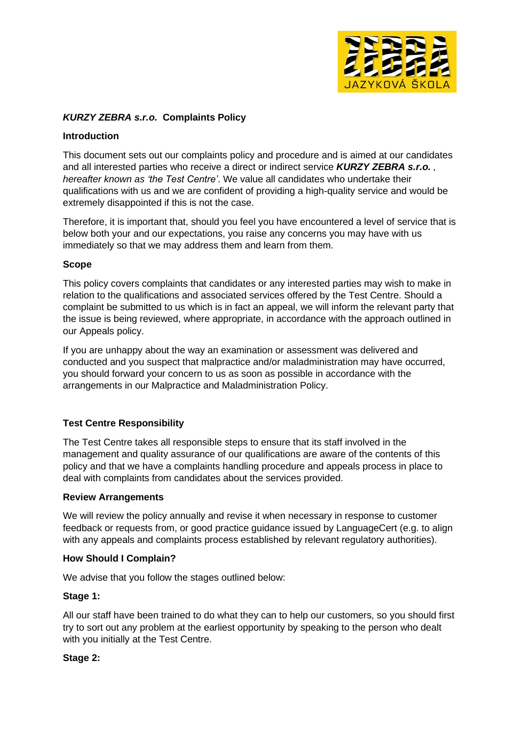

# *KURZY ZEBRA s.r.o.* **Complaints Policy**

### **Introduction**

This document sets out our complaints policy and procedure and is aimed at our candidates and all interested parties who receive a direct or indirect service *KURZY ZEBRA s.r.o. , hereafter known as 'the Test Centre'*. We value all candidates who undertake their qualifications with us and we are confident of providing a high-quality service and would be extremely disappointed if this is not the case.

Therefore, it is important that, should you feel you have encountered a level of service that is below both your and our expectations, you raise any concerns you may have with us immediately so that we may address them and learn from them.

### **Scope**

This policy covers complaints that candidates or any interested parties may wish to make in relation to the qualifications and associated services offered by the Test Centre. Should a complaint be submitted to us which is in fact an appeal, we will inform the relevant party that the issue is being reviewed, where appropriate, in accordance with the approach outlined in our Appeals policy.

If you are unhappy about the way an examination or assessment was delivered and conducted and you suspect that malpractice and/or maladministration may have occurred, you should forward your concern to us as soon as possible in accordance with the arrangements in our Malpractice and Maladministration Policy.

# **Test Centre Responsibility**

The Test Centre takes all responsible steps to ensure that its staff involved in the management and quality assurance of our qualifications are aware of the contents of this policy and that we have a complaints handling procedure and appeals process in place to deal with complaints from candidates about the services provided.

#### **Review Arrangements**

We will review the policy annually and revise it when necessary in response to customer feedback or requests from, or good practice guidance issued by LanguageCert (e.g. to align with any appeals and complaints process established by relevant regulatory authorities).

#### **How Should I Complain?**

We advise that you follow the stages outlined below:

#### **Stage 1:**

All our staff have been trained to do what they can to help our customers, so you should first try to sort out any problem at the earliest opportunity by speaking to the person who dealt with you initially at the Test Centre.

# **Stage 2:**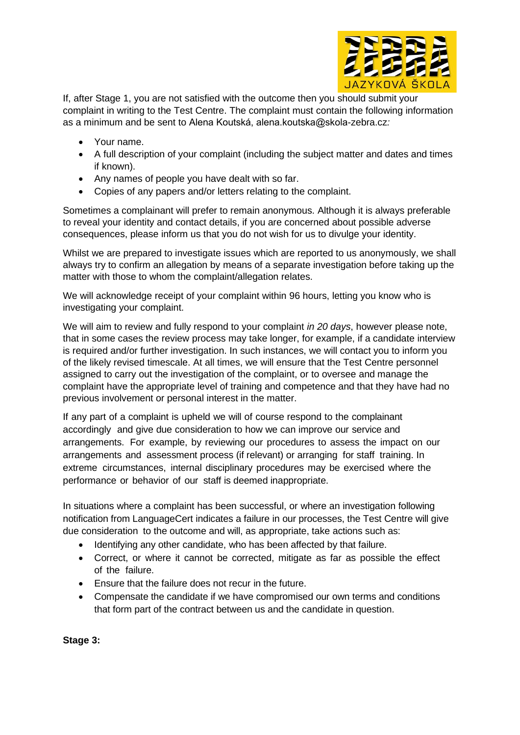

If, after Stage 1, you are not satisfied with the outcome then you should submit your complaint in writing to the Test Centre. The complaint must contain the following information as a minimum and be sent to Alena Koutská, alena.koutska@skola-zebra.cz*:*

- Your name.
- A full description of your complaint (including the subject matter and dates and times if known).
- Any names of people you have dealt with so far.
- Copies of any papers and/or letters relating to the complaint.

Sometimes a complainant will prefer to remain anonymous. Although it is always preferable to reveal your identity and contact details, if you are concerned about possible adverse consequences, please inform us that you do not wish for us to divulge your identity.

Whilst we are prepared to investigate issues which are reported to us anonymously, we shall always try to confirm an allegation by means of a separate investigation before taking up the matter with those to whom the complaint/allegation relates.

We will acknowledge receipt of your complaint within 96 hours, letting you know who is investigating your complaint.

We will aim to review and fully respond to your complaint *in 20 days*, however please note, that in some cases the review process may take longer, for example, if a candidate interview is required and/or further investigation. In such instances, we will contact you to inform you of the likely revised timescale. At all times, we will ensure that the Test Centre personnel assigned to carry out the investigation of the complaint, or to oversee and manage the complaint have the appropriate level of training and competence and that they have had no previous involvement or personal interest in the matter.

If any part of a complaint is upheld we will of course respond to the complainant accordingly and give due consideration to how we can improve our service and arrangements. For example, by reviewing our procedures to assess the impact on our arrangements and assessment process (if relevant) or arranging for staff training. In extreme circumstances, internal disciplinary procedures may be exercised where the performance or behavior of our staff is deemed inappropriate.

In situations where a complaint has been successful, or where an investigation following notification from LanguageCert indicates a failure in our processes, the Test Centre will give due consideration to the outcome and will, as appropriate, take actions such as:

- Identifying any other candidate, who has been affected by that failure.
- Correct, or where it cannot be corrected, mitigate as far as possible the effect of the failure.
- Ensure that the failure does not recur in the future.
- Compensate the candidate if we have compromised our own terms and conditions that form part of the contract between us and the candidate in question.

**Stage 3:**